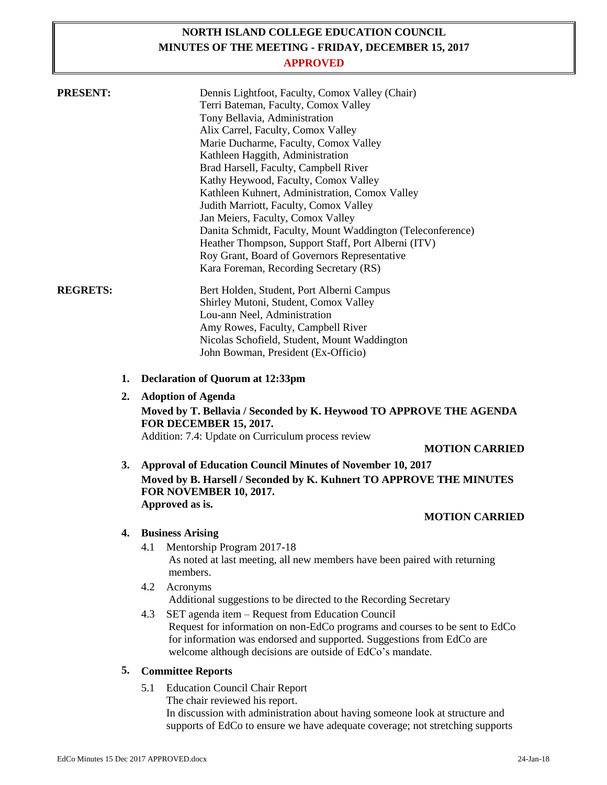# **NORTH ISLAND COLLEGE EDUCATION COUNCIL MINUTES OF THE MEETING - FRIDAY, DECEMBER 15, 2017**

# **APPROVED**

| <b>PRESENT:</b> |    | Dennis Lightfoot, Faculty, Comox Valley (Chair)<br>Terri Bateman, Faculty, Comox Valley<br>Tony Bellavia, Administration<br>Alix Carrel, Faculty, Comox Valley<br>Marie Ducharme, Faculty, Comox Valley<br>Kathleen Haggith, Administration<br>Brad Harsell, Faculty, Campbell River<br>Kathy Heywood, Faculty, Comox Valley<br>Kathleen Kuhnert, Administration, Comox Valley<br>Judith Marriott, Faculty, Comox Valley<br>Jan Meiers, Faculty, Comox Valley<br>Danita Schmidt, Faculty, Mount Waddington (Teleconference)<br>Heather Thompson, Support Staff, Port Alberni (ITV)<br>Roy Grant, Board of Governors Representative<br>Kara Foreman, Recording Secretary (RS) |
|-----------------|----|------------------------------------------------------------------------------------------------------------------------------------------------------------------------------------------------------------------------------------------------------------------------------------------------------------------------------------------------------------------------------------------------------------------------------------------------------------------------------------------------------------------------------------------------------------------------------------------------------------------------------------------------------------------------------|
| <b>REGRETS:</b> |    | Bert Holden, Student, Port Alberni Campus<br>Shirley Mutoni, Student, Comox Valley<br>Lou-ann Neel, Administration<br>Amy Rowes, Faculty, Campbell River<br>Nicolas Schofield, Student, Mount Waddington<br>John Bowman, President (Ex-Officio)                                                                                                                                                                                                                                                                                                                                                                                                                              |
|                 | 1. | <b>Declaration of Quorum at 12:33pm</b>                                                                                                                                                                                                                                                                                                                                                                                                                                                                                                                                                                                                                                      |
|                 | 2. | <b>Adoption of Agenda</b>                                                                                                                                                                                                                                                                                                                                                                                                                                                                                                                                                                                                                                                    |
|                 |    | Moved by T. Bellavia / Seconded by K. Heywood TO APPROVE THE AGENDA<br><b>FOR DECEMBER 15, 2017.</b><br>Addition: 7.4: Update on Curriculum process review<br><b>MOTION CARRIED</b>                                                                                                                                                                                                                                                                                                                                                                                                                                                                                          |
|                 | 3. | <b>Approval of Education Council Minutes of November 10, 2017</b>                                                                                                                                                                                                                                                                                                                                                                                                                                                                                                                                                                                                            |
|                 |    | Moved by B. Harsell / Seconded by K. Kuhnert TO APPROVE THE MINUTES<br>FOR NOVEMBER 10, 2017.<br>Approved as is.                                                                                                                                                                                                                                                                                                                                                                                                                                                                                                                                                             |
|                 |    | <b>MOTION CARRIED</b>                                                                                                                                                                                                                                                                                                                                                                                                                                                                                                                                                                                                                                                        |
|                 | 4. | <b>Business Arising</b>                                                                                                                                                                                                                                                                                                                                                                                                                                                                                                                                                                                                                                                      |
|                 |    | 4.1<br>Mentorship Program 2017-18<br>As noted at last meeting, all new members have been paired with returning<br>members.                                                                                                                                                                                                                                                                                                                                                                                                                                                                                                                                                   |
|                 |    | 4.2<br>Acronyms                                                                                                                                                                                                                                                                                                                                                                                                                                                                                                                                                                                                                                                              |
|                 |    | Additional suggestions to be directed to the Recording Secretary<br>SET agenda item - Request from Education Council<br>4.3                                                                                                                                                                                                                                                                                                                                                                                                                                                                                                                                                  |
|                 |    | Request for information on non-EdCo programs and courses to be sent to EdCo<br>for information was endorsed and supported. Suggestions from EdCo are<br>welcome although decisions are outside of EdCo's mandate.                                                                                                                                                                                                                                                                                                                                                                                                                                                            |
|                 | 5. | <b>Committee Reports</b>                                                                                                                                                                                                                                                                                                                                                                                                                                                                                                                                                                                                                                                     |
|                 |    | <b>Education Council Chair Report</b><br>5.1                                                                                                                                                                                                                                                                                                                                                                                                                                                                                                                                                                                                                                 |

The chair reviewed his report.

In discussion with administration about having someone look at structure and supports of EdCo to ensure we have adequate coverage; not stretching supports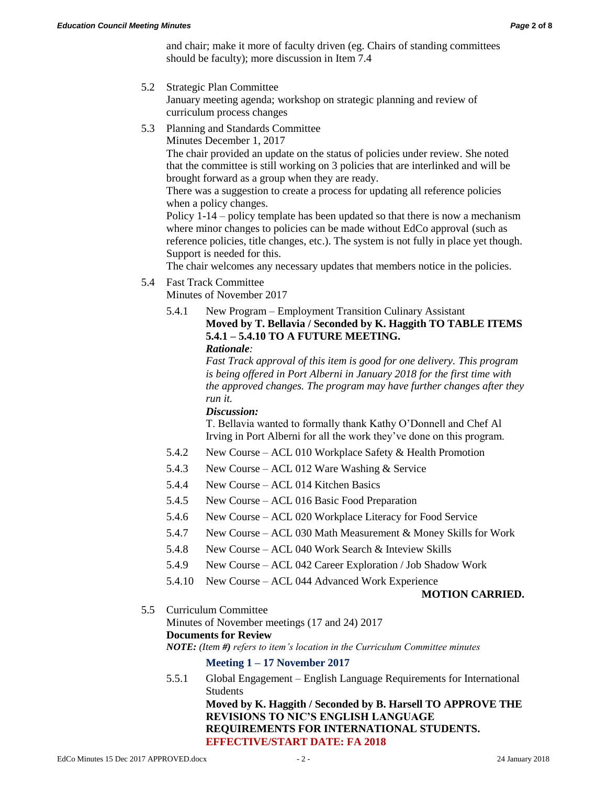and chair; make it more of faculty driven (eg. Chairs of standing committees should be faculty); more discussion in Item 7.4

5.2 Strategic Plan Committee

January meeting agenda; workshop on strategic planning and review of curriculum process changes

5.3 Planning and Standards Committee

Minutes December 1, 2017

The chair provided an update on the status of policies under review. She noted that the committee is still working on 3 policies that are interlinked and will be brought forward as a group when they are ready.

There was a suggestion to create a process for updating all reference policies when a policy changes.

Policy 1-14 – policy template has been updated so that there is now a mechanism where minor changes to policies can be made without EdCo approval (such as reference policies, title changes, etc.). The system is not fully in place yet though. Support is needed for this.

The chair welcomes any necessary updates that members notice in the policies.

5.4 Fast Track Committee

Minutes of November 2017

5.4.1 New Program – Employment Transition Culinary Assistant **Moved by T. Bellavia / Seconded by K. Haggith TO TABLE ITEMS 5.4.1 – 5.4.10 TO A FUTURE MEETING.** *Rationale:*

> *Fast Track approval of this item is good for one delivery. This program is being offered in Port Alberni in January 2018 for the first time with the approved changes. The program may have further changes after they run it.*

# *Discussion:*

T. Bellavia wanted to formally thank Kathy O'Donnell and Chef Al Irving in Port Alberni for all the work they've done on this program.

- 5.4.2 New Course ACL 010 Workplace Safety & Health Promotion
- 5.4.3 New Course ACL 012 Ware Washing & Service
- 5.4.4 New Course ACL 014 Kitchen Basics
- 5.4.5 New Course ACL 016 Basic Food Preparation
- 5.4.6 New Course ACL 020 Workplace Literacy for Food Service
- 5.4.7 New Course ACL 030 Math Measurement & Money Skills for Work
- 5.4.8 New Course ACL 040 Work Search & Inteview Skills
- 5.4.9 New Course ACL 042 Career Exploration / Job Shadow Work
- 5.4.10 New Course ACL 044 Advanced Work Experience

#### **MOTION CARRIED.**

5.5 Curriculum Committee

Minutes of November meetings (17 and 24) 2017

**Documents for Review**

*NOTE: (Item #) refers to item's location in the Curriculum Committee minutes*

**Meeting 1 – 17 November 2017**

5.5.1 Global Engagement – English Language Requirements for International Students **Moved by K. Haggith / Seconded by B. Harsell TO APPROVE THE REVISIONS TO NIC'S ENGLISH LANGUAGE REQUIREMENTS FOR INTERNATIONAL STUDENTS. EFFECTIVE/START DATE: FA 2018**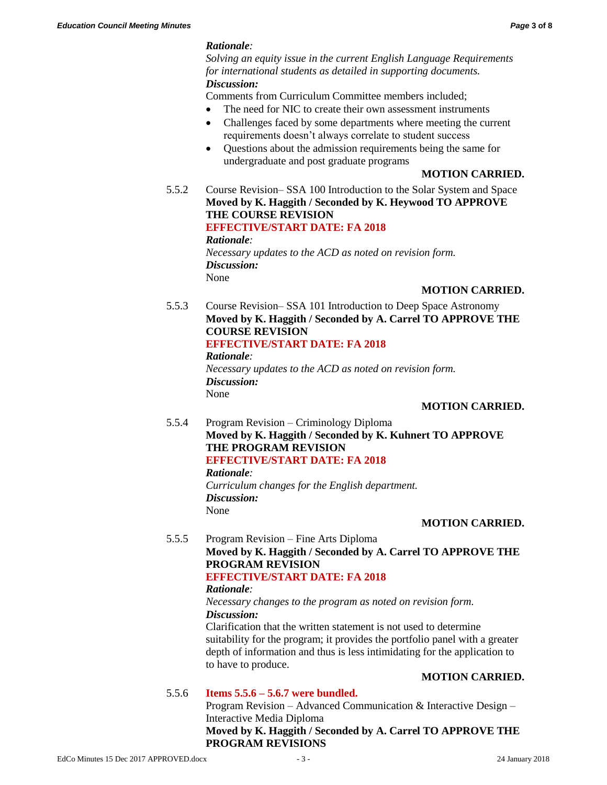# *Rationale:*

*Solving an equity issue in the current English Language Requirements for international students as detailed in supporting documents. Discussion:*

Comments from Curriculum Committee members included;

- The need for NIC to create their own assessment instruments
- Challenges faced by some departments where meeting the current requirements doesn't always correlate to student success
- Questions about the admission requirements being the same for undergraduate and post graduate programs

#### **MOTION CARRIED.**

5.5.2 Course Revision– SSA 100 Introduction to the Solar System and Space **Moved by K. Haggith / Seconded by K. Heywood TO APPROVE THE COURSE REVISION EFFECTIVE/START DATE: FA 2018** *Rationale: Necessary updates to the ACD as noted on revision form. Discussion:*

None

# **MOTION CARRIED.**

5.5.3 Course Revision– SSA 101 Introduction to Deep Space Astronomy **Moved by K. Haggith / Seconded by A. Carrel TO APPROVE THE COURSE REVISION**

# **EFFECTIVE/START DATE: FA 2018**

*Rationale: Necessary updates to the ACD as noted on revision form. Discussion:* None

#### **MOTION CARRIED.**

5.5.4 Program Revision – Criminology Diploma **Moved by K. Haggith / Seconded by K. Kuhnert TO APPROVE THE PROGRAM REVISION EFFECTIVE/START DATE: FA 2018** *Rationale: Curriculum changes for the English department. Discussion:* None

#### **MOTION CARRIED.**

5.5.5 Program Revision – Fine Arts Diploma **Moved by K. Haggith / Seconded by A. Carrel TO APPROVE THE PROGRAM REVISION**

# **EFFECTIVE/START DATE: FA 2018**

#### *Rationale:*

#### *Necessary changes to the program as noted on revision form. Discussion:*

Clarification that the written statement is not used to determine suitability for the program; it provides the portfolio panel with a greater depth of information and thus is less intimidating for the application to to have to produce.

# **MOTION CARRIED.**

# 5.5.6 **Items 5.5.6 – 5.6.7 were bundled.**

Program Revision – Advanced Communication & Interactive Design – Interactive Media Diploma **Moved by K. Haggith / Seconded by A. Carrel TO APPROVE THE PROGRAM REVISIONS**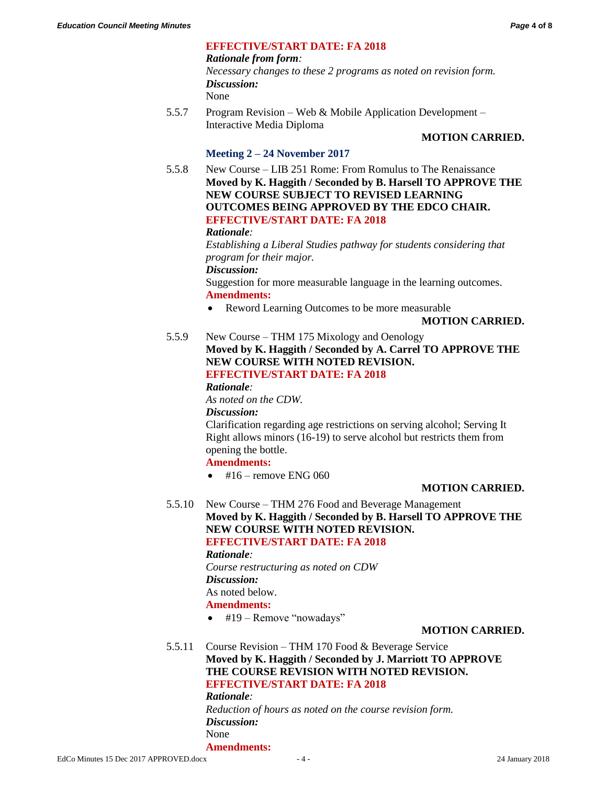# **EFFECTIVE/START DATE: FA 2018**

#### *Rationale from form:*

*Necessary changes to these 2 programs as noted on revision form. Discussion:*

None

5.5.7 Program Revision – Web & Mobile Application Development – Interactive Media Diploma

# **MOTION CARRIED.**

# **Meeting 2 – 24 November 2017**

5.5.8 New Course – LIB 251 Rome: From Romulus to The Renaissance **Moved by K. Haggith / Seconded by B. Harsell TO APPROVE THE NEW COURSE SUBJECT TO REVISED LEARNING OUTCOMES BEING APPROVED BY THE EDCO CHAIR. EFFECTIVE/START DATE: FA 2018**

#### *Rationale:*

*Establishing a Liberal Studies pathway for students considering that program for their major.*

*Discussion:*

Suggestion for more measurable language in the learning outcomes. **Amendments:**

• Reword Learning Outcomes to be more measurable

#### **MOTION CARRIED.**

5.5.9 New Course – THM 175 Mixology and Oenology **Moved by K. Haggith / Seconded by A. Carrel TO APPROVE THE NEW COURSE WITH NOTED REVISION. EFFECTIVE/START DATE: FA 2018**

*Rationale:*

*As noted on the CDW.*

*Discussion:*

Clarification regarding age restrictions on serving alcohol; Serving It Right allows minors (16-19) to serve alcohol but restricts them from opening the bottle.

**Amendments:**

 $\bullet$  #16 – remove ENG 060

# **MOTION CARRIED.**

5.5.10 New Course – THM 276 Food and Beverage Management **Moved by K. Haggith / Seconded by B. Harsell TO APPROVE THE NEW COURSE WITH NOTED REVISION. EFFECTIVE/START DATE: FA 2018**

*Rationale:*

*Course restructuring as noted on CDW Discussion:*

As noted below.

# **Amendments:**

 $\bullet$  #19 – Remove "nowadays"

# **MOTION CARRIED.**

5.5.11 Course Revision – THM 170 Food & Beverage Service **Moved by K. Haggith / Seconded by J. Marriott TO APPROVE THE COURSE REVISION WITH NOTED REVISION. EFFECTIVE/START DATE: FA 2018** *Rationale:*

> *Reduction of hours as noted on the course revision form. Discussion:* None **Amendments:**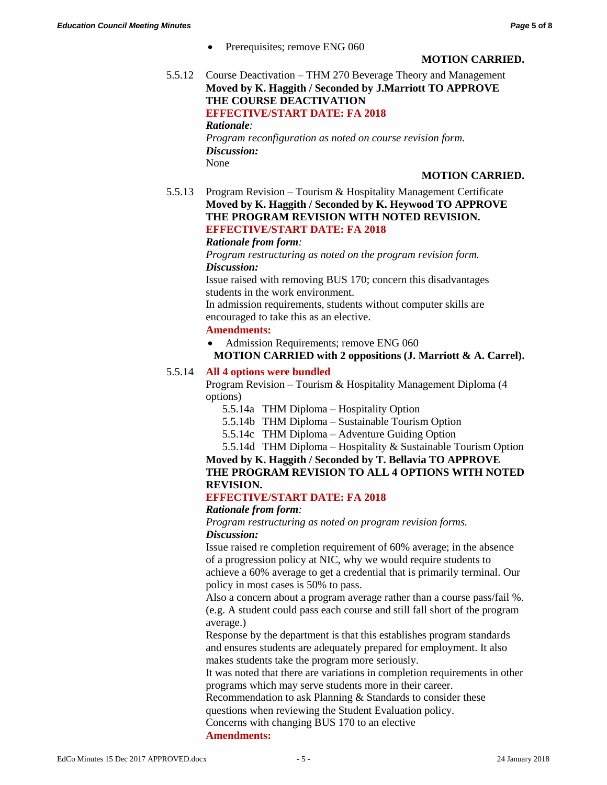Prerequisites; remove ENG 060

#### **MOTION CARRIED.**

5.5.12 Course Deactivation – THM 270 Beverage Theory and Management **Moved by K. Haggith / Seconded by J.Marriott TO APPROVE THE COURSE DEACTIVATION EFFECTIVE/START DATE: FA 2018** *Rationale:*

*Program reconfiguration as noted on course revision form. Discussion:* None

#### **MOTION CARRIED.**

5.5.13 Program Revision – Tourism & Hospitality Management Certificate **Moved by K. Haggith / Seconded by K. Heywood TO APPROVE THE PROGRAM REVISION WITH NOTED REVISION. EFFECTIVE/START DATE: FA 2018**

#### *Rationale from form:*

*Program restructuring as noted on the program revision form. Discussion:*

Issue raised with removing BUS 170; concern this disadvantages students in the work environment.

In admission requirements, students without computer skills are encouraged to take this as an elective.

# **Amendments:**

• Admission Requirements; remove ENG 060

#### **MOTION CARRIED with 2 oppositions (J. Marriott & A. Carrel).**

#### 5.5.14 **All 4 options were bundled**

Program Revision – Tourism & Hospitality Management Diploma (4 options)

5.5.14a THM Diploma – Hospitality Option

- 5.5.14b THM Diploma Sustainable Tourism Option
- 5.5.14c THM Diploma Adventure Guiding Option

5.5.14d THM Diploma – Hospitality & Sustainable Tourism Option

**Moved by K. Haggith / Seconded by T. Bellavia TO APPROVE THE PROGRAM REVISION TO ALL 4 OPTIONS WITH NOTED REVISION.**

# **EFFECTIVE/START DATE: FA 2018**

#### *Rationale from form:*

*Program restructuring as noted on program revision forms.*

# *Discussion:*

Issue raised re completion requirement of 60% average; in the absence of a progression policy at NIC, why we would require students to achieve a 60% average to get a credential that is primarily terminal. Our policy in most cases is 50% to pass.

Also a concern about a program average rather than a course pass/fail %. (e.g. A student could pass each course and still fall short of the program average.)

Response by the department is that this establishes program standards and ensures students are adequately prepared for employment. It also makes students take the program more seriously.

It was noted that there are variations in completion requirements in other programs which may serve students more in their career.

Recommendation to ask Planning & Standards to consider these

questions when reviewing the Student Evaluation policy.

Concerns with changing BUS 170 to an elective

#### **Amendments:**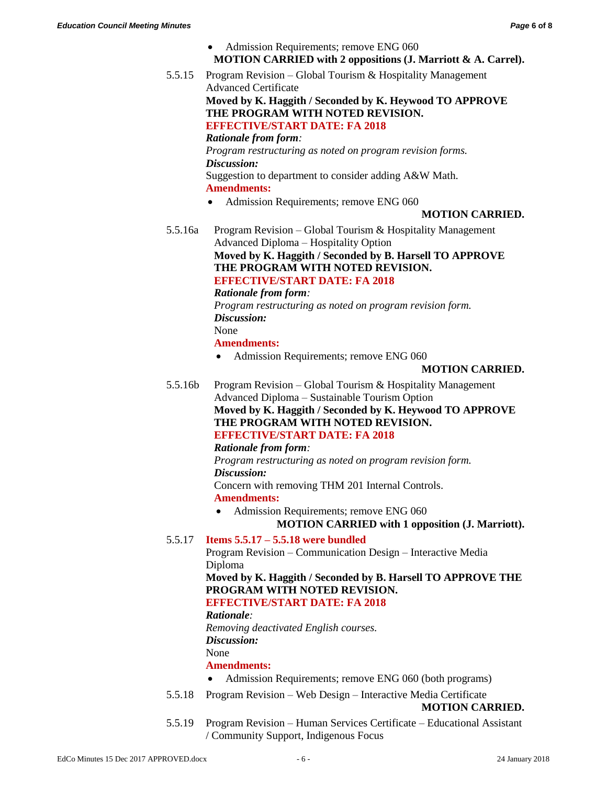- Admission Requirements; remove ENG 060 **MOTION CARRIED with 2 oppositions (J. Marriott & A. Carrel).**
- 5.5.15 Program Revision Global Tourism & Hospitality Management Advanced Certificate **Moved by K. Haggith / Seconded by K. Heywood TO APPROVE**

**THE PROGRAM WITH NOTED REVISION. EFFECTIVE/START DATE: FA 2018**

*Rationale from form:*

*Program restructuring as noted on program revision forms. Discussion:*

Suggestion to department to consider adding A&W Math. **Amendments:**

• Admission Requirements; remove ENG 060

# **MOTION CARRIED.**

5.5.16a Program Revision – Global Tourism & Hospitality Management Advanced Diploma – Hospitality Option **Moved by K. Haggith / Seconded by B. Harsell TO APPROVE THE PROGRAM WITH NOTED REVISION. EFFECTIVE/START DATE: FA 2018**

*Rationale from form:*

*Program restructuring as noted on program revision form. Discussion:* None

**Amendments:**

Admission Requirements; remove ENG 060

# **MOTION CARRIED.**

5.5.16b Program Revision – Global Tourism & Hospitality Management Advanced Diploma – Sustainable Tourism Option **Moved by K. Haggith / Seconded by K. Heywood TO APPROVE THE PROGRAM WITH NOTED REVISION. EFFECTIVE/START DATE: FA 2018**

# *Rationale from form:*

*Program restructuring as noted on program revision form. Discussion:*

Concern with removing THM 201 Internal Controls. **Amendments:**

 Admission Requirements; remove ENG 060 **MOTION CARRIED with 1 opposition (J. Marriott).**

# 5.5.17 **Items 5.5.17 – 5.5.18 were bundled**

Program Revision – Communication Design – Interactive Media Diploma

# **Moved by K. Haggith / Seconded by B. Harsell TO APPROVE THE PROGRAM WITH NOTED REVISION.**

# **EFFECTIVE/START DATE: FA 2018**

*Rationale:*

*Removing deactivated English courses.*

*Discussion:*

# None

# **Amendments:**

- Admission Requirements; remove ENG 060 (both programs)
- 5.5.18 Program Revision Web Design Interactive Media Certificate

# **MOTION CARRIED.**

5.5.19 Program Revision – Human Services Certificate – Educational Assistant / Community Support, Indigenous Focus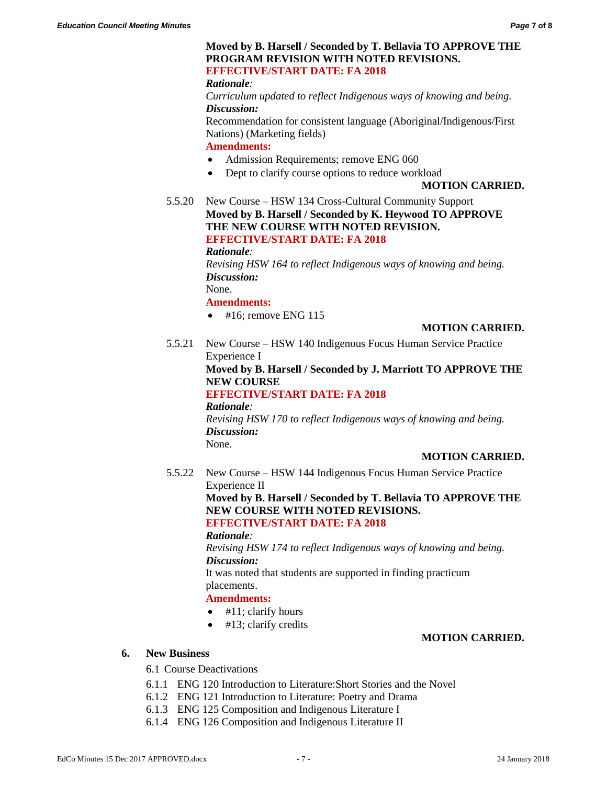#### **Moved by B. Harsell / Seconded by T. Bellavia TO APPROVE THE PROGRAM REVISION WITH NOTED REVISIONS. EFFECTIVE/START DATE: FA 2018**

*Rationale:*

*Curriculum updated to reflect Indigenous ways of knowing and being. Discussion:*

Recommendation for consistent language (Aboriginal/Indigenous/First Nations) (Marketing fields)

**Amendments:**

- Admission Requirements; remove ENG 060
- Dept to clarify course options to reduce workload

#### **MOTION CARRIED.**

5.5.20 New Course – HSW 134 Cross-Cultural Community Support **Moved by B. Harsell / Seconded by K. Heywood TO APPROVE THE NEW COURSE WITH NOTED REVISION. EFFECTIVE/START DATE: FA 2018**

*Rationale:*

*Revising HSW 164 to reflect Indigenous ways of knowing and being. Discussion:*

None.

**Amendments:**

 $\bullet$  #16; remove ENG 115

# **MOTION CARRIED.**

5.5.21 New Course – HSW 140 Indigenous Focus Human Service Practice Experience I

# **Moved by B. Harsell / Seconded by J. Marriott TO APPROVE THE NEW COURSE**

# **EFFECTIVE/START DATE: FA 2018**

*Rationale: Revising HSW 170 to reflect Indigenous ways of knowing and being. Discussion:* None.

#### **MOTION CARRIED.**

5.5.22 New Course – HSW 144 Indigenous Focus Human Service Practice Experience II **Moved by B. Harsell / Seconded by T. Bellavia TO APPROVE THE NEW COURSE WITH NOTED REVISIONS. EFFECTIVE/START DATE: FA 2018** *Rationale:*

> *Revising HSW 174 to reflect Indigenous ways of knowing and being. Discussion:*

It was noted that students are supported in finding practicum placements.

#### **Amendments:**

- $\bullet$  #11; clarify hours
- $\bullet$  #13; clarify credits

#### **MOTION CARRIED.**

#### **6. New Business**

#### 6.1 Course Deactivations

- 6.1.1 ENG 120 Introduction to Literature:Short Stories and the Novel
- 6.1.2 ENG 121 Introduction to Literature: Poetry and Drama
- 6.1.3 ENG 125 Composition and Indigenous Literature I
- 6.1.4 ENG 126 Composition and Indigenous Literature II